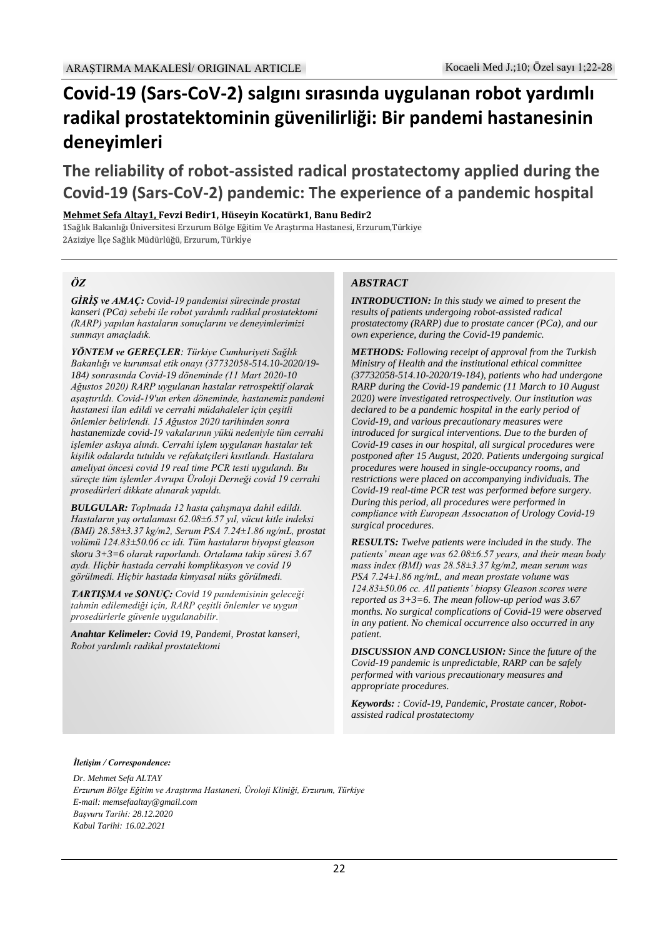# **Covid-19 (Sars-CoV-2) salgını sırasında uygulanan robot yardımlı radikal prostatektominin güvenilirliği: Bir pandemi hastanesinin deneyimleri**

## **The reliability of robot-assisted radical prostatectomy applied during the Covid-19 (Sars-CoV-2) pandemic: The experience of a pandemic hospital**

**Mehmet Sefa Altay1, Fevzi Bedir1, Hüseyin Kocatürk1, Banu Bedir2**

1Sağlık Bakanlığı Üniversitesi Erzurum Bölge Eğitim Ve Araştırma Hastanesi, Erzurum,Türkiye 2Aziziye İlçe Sağlık Müdürlüğü, Erzurum, Türkiye

#### *ÖZ*

*GİRİŞ ve AMAÇ: Covid-19 pandemisi sürecinde prostat kanseri (PCa) sebebi ile robot yardımlı radikal prostatektomi (RARP) yapılan hastaların sonuçlarını ve deneyimlerimizi sunmayı amaçladık.*

*YÖNTEM ve GEREÇLER: Türkiye Cumhuriyeti Sağlık Bakanlığı ve kurumsal etik onayı (37732058-514.10-2020/19- 184) sonrasında Covid-19 döneminde (11 Mart 2020-10 Ağustos 2020) RARP uygulanan hastalar retrospektif olarak aşaştırıldı. Covid-19'un erken döneminde, hastanemiz pandemi hastanesi ilan edildi ve cerrahi müdahaleler için çeşitli önlemler belirlendi. 15 Ağustos 2020 tarihinden sonra hastanemizde covid-19 vakalarının yükü nedeniyle tüm cerrahi işlemler askıya alındı. Cerrahi işlem uygulanan hastalar tek kişilik odalarda tutuldu ve refakatçileri kısıtlandı. Hastalara ameliyat öncesi covid 19 real time PCR testi uygulandı. Bu süreçte tüm işlemler Avrupa Üroloji Derneği covid 19 cerrahi prosedürleri dikkate alınarak yapıldı.*

*BULGULAR: Toplmada 12 hasta çalışmaya dahil edildi. Hastaların yaş ortalaması 62.08±6.57 yıl, vücut kitle indeksi (BMI) 28.58±3.37 kg/m2, Serum PSA 7.24±1.86 ng/mL, prostat volümü 124.83±50.06 cc idi. Tüm hastaların biyopsi gleason skoru 3+3=6 olarak raporlandı. Ortalama takip süresi 3.67 aydı. Hiçbir hastada cerrahi komplikasyon ve covid 19 görülmedi. Hiçbir hastada kimyasal nüks görülmedi.*

*TARTIŞMA ve SONUÇ: Covid 19 pandemisinin geleceği tahmin edilemediği için, RARP çeşitli önlemler ve uygun prosedürlerle güvenle uygulanabilir.*

*Anahtar Kelimeler: Covid 19, Pandemi, Prostat kanseri, Robot yardımlı radikal prostatektomi*

#### *ABSTRACT*

*INTRODUCTION: In this study we aimed to present the results of patients undergoing robot-assisted radical prostatectomy (RARP) due to prostate cancer (PCa), and our own experience, during the Covid-19 pandemic.*

*METHODS: Following receipt of approval from the Turkish Ministry of Health and the institutional ethical committee (37732058-514.10-2020/19-184), patients who had undergone RARP during the Covid-19 pandemic (11 March to 10 August 2020) were investigated retrospectively. Our institution was declared to be a pandemic hospital in the early period of Covid-19, and various precautionary measures were introduced for surgical interventions. Due to the burden of Covid-19 cases in our hospital, all surgical procedures were postponed after 15 August, 2020. Patients undergoing surgical procedures were housed in single-occupancy rooms, and restrictions were placed on accompanying individuals. The Covid-19 real-time PCR test was performed before surgery. During this period, all procedures were performed in compliance with European Assocıatıon of Urology Covid-19 surgical procedures.*

*RESULTS: Twelve patients were included in the study. The patients' mean age was 62.08±6.57 years, and their mean body mass index (BMI) was 28.58±3.37 kg/m2, mean serum was PSA 7.24±1.86 ng/mL, and mean prostate volume was 124.83±50.06 cc. All patients' biopsy Gleason scores were reported as 3+3=6. The mean follow-up period was 3.67 months. No surgical complications of Covid-19 were observed in any patient. No chemical occurrence also occurred in any patient.*

*DISCUSSION AND CONCLUSION: Since the future of the Covid-19 pandemic is unpredictable, RARP can be safely performed with various precautionary measures and appropriate procedures.*

*Keywords: : Covid-19, Pandemic, Prostate cancer, Robotassisted radical prostatectomy*

*İletişim / Correspondence:* 

*Dr. Mehmet Sefa ALTAY Erzurum Bölge Eğitim ve Araştırma Hastanesi, Üroloji Kliniği, Erzurum, Türkiye E-mail: memsefaaltay@gmail.com Başvuru Tarihi: 28.12.2020 Kabul Tarihi: 16.02.2021*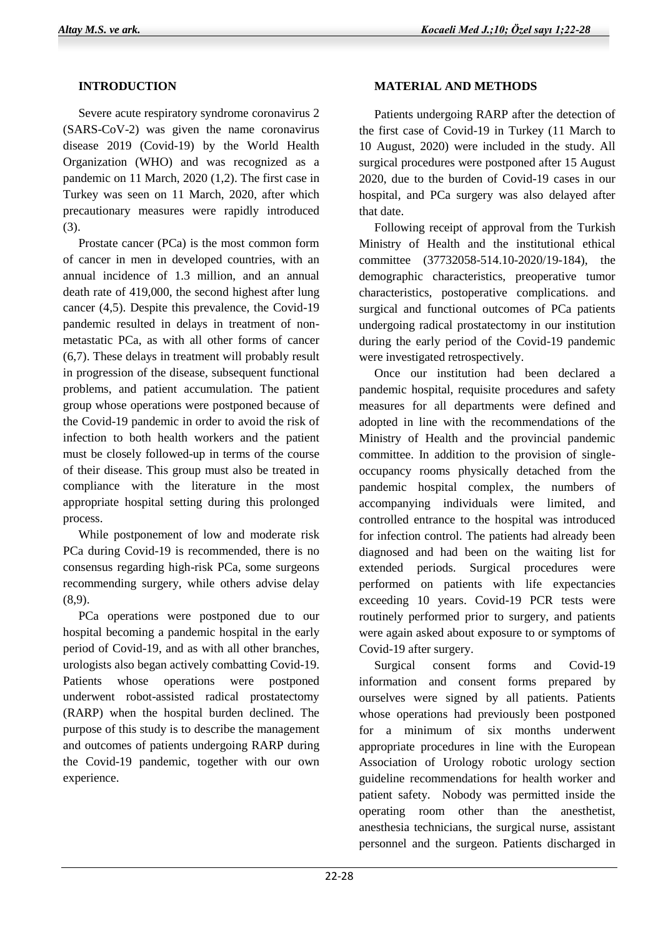## **INTRODUCTION**

 Severe acute respiratory syndrome coronavirus 2 (SARS-CoV-2) was given the name coronavirus disease 2019 (Covid-19) by the World Health Organization (WHO) and was recognized as a pandemic on 11 March, 2020 (1,2). The first case in Turkey was seen on 11 March, 2020, after which precautionary measures were rapidly introduced (3).

 Prostate cancer (PCa) is the most common form of cancer in men in developed countries, with an annual incidence of 1.3 million, and an annual death rate of 419,000, the second highest after lung cancer (4,5). Despite this prevalence, the Covid-19 pandemic resulted in delays in treatment of nonmetastatic PCa, as with all other forms of cancer (6,7). These delays in treatment will probably result in progression of the disease, subsequent functional problems, and patient accumulation. The patient group whose operations were postponed because of the Covid-19 pandemic in order to avoid the risk of infection to both health workers and the patient must be closely followed-up in terms of the course of their disease. This group must also be treated in compliance with the literature in the most appropriate hospital setting during this prolonged process.

 While postponement of low and moderate risk PCa during Covid-19 is recommended, there is no consensus regarding high-risk PCa, some surgeons recommending surgery, while others advise delay (8,9).

 PCa operations were postponed due to our hospital becoming a pandemic hospital in the early period of Covid-19, and as with all other branches, urologists also began actively combatting Covid-19. Patients whose operations were postponed underwent robot-assisted radical prostatectomy (RARP) when the hospital burden declined. The purpose of this study is to describe the management and outcomes of patients undergoing RARP during the Covid-19 pandemic, together with our own experience.

### **MATERIAL AND METHODS**

 Patients undergoing RARP after the detection of the first case of Covid-19 in Turkey (11 March to 10 August, 2020) were included in the study. All surgical procedures were postponed after 15 August 2020, due to the burden of Covid-19 cases in our hospital, and PCa surgery was also delayed after that date.

 Following receipt of approval from the Turkish Ministry of Health and the institutional ethical committee (37732058-514.10-2020/19-184), the demographic characteristics, preoperative tumor characteristics, postoperative complications. and surgical and functional outcomes of PCa patients undergoing radical prostatectomy in our institution during the early period of the Covid-19 pandemic were investigated retrospectively.

 Once our institution had been declared a pandemic hospital, requisite procedures and safety measures for all departments were defined and adopted in line with the recommendations of the Ministry of Health and the provincial pandemic committee. In addition to the provision of singleoccupancy rooms physically detached from the pandemic hospital complex, the numbers of accompanying individuals were limited, and controlled entrance to the hospital was introduced for infection control. The patients had already been diagnosed and had been on the waiting list for extended periods. Surgical procedures were performed on patients with life expectancies exceeding 10 years. Covid-19 PCR tests were routinely performed prior to surgery, and patients were again asked about exposure to or symptoms of Covid-19 after surgery.

 Surgical consent forms and Covid-19 information and consent forms prepared by ourselves were signed by all patients. Patients whose operations had previously been postponed for a minimum of six months underwent appropriate procedures in line with the European Association of Urology robotic urology section guideline recommendations for health worker and patient safety. Nobody was permitted inside the operating room other than the anesthetist, anesthesia technicians, the surgical nurse, assistant personnel and the surgeon. Patients discharged in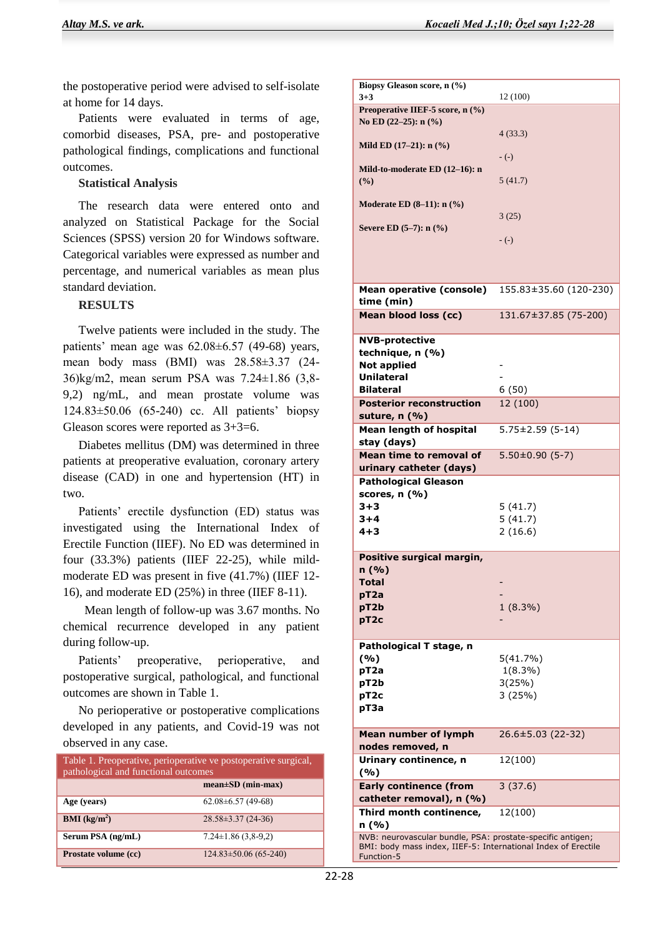the postoperative period were advised to self-isolate at home for 14 days.

 Patients were evaluated in terms of age, comorbid diseases, PSA, pre- and postoperative pathological findings, complications and functional outcomes.

#### **Statistical Analysis**

 The research data were entered onto and analyzed on Statistical Package for the Social Sciences (SPSS) version 20 for Windows software. Categorical variables were expressed as number and percentage, and numerical variables as mean plus standard deviation.

#### **RESULTS**

 Twelve patients were included in the study. The patients' mean age was 62.08±6.57 (49-68) years, mean body mass (BMI) was 28.58±3.37 (24- 36)kg/m2, mean serum PSA was 7.24±1.86 (3,8- 9,2) ng/mL, and mean prostate volume was 124.83±50.06 (65-240) cc. All patients' biopsy Gleason scores were reported as 3+3=6.

 Diabetes mellitus (DM) was determined in three patients at preoperative evaluation, coronary artery disease (CAD) in one and hypertension (HT) in two.

 Patients' erectile dysfunction (ED) status was investigated using the International Index of Erectile Function (IIEF). No ED was determined in four (33.3%) patients (IIEF 22-25), while mildmoderate ED was present in five (41.7%) (IIEF 12- 16), and moderate ED (25%) in three (IIEF 8-11).

 Mean length of follow-up was 3.67 months. No chemical recurrence developed in any patient during follow-up.

 Patients' preoperative, perioperative, and postoperative surgical, pathological, and functional outcomes are shown in Table 1.

 No perioperative or postoperative complications developed in any patients, and Covid-19 was not observed in any case.

| Table 1. Preoperative, perioperative ve postoperative surgical,<br>pathological and functional outcomes |                             |
|---------------------------------------------------------------------------------------------------------|-----------------------------|
|                                                                                                         | $mean \pm SD$ (min-max)     |
| Age (years)                                                                                             | $62.08 \pm 6.57$ (49-68)    |
| <b>BMI</b> ( $kg/m2$ )                                                                                  | $28.58 \pm 3.37(24-36)$     |
| Serum PSA (ng/mL)                                                                                       | $7.24 \pm 1.86$ (3,8-9,2)   |
| Prostate volume (cc)                                                                                    | $124.83 \pm 50.06$ (65-240) |

| Biopsy Gleason score, n (%)                                                                                                 |                        |
|-----------------------------------------------------------------------------------------------------------------------------|------------------------|
| $3 + 3$                                                                                                                     | 12 (100)               |
| Preoperative IIEF-5 score, n (%)                                                                                            |                        |
| No ED (22-25): n (%)                                                                                                        |                        |
|                                                                                                                             | 4(33.3)                |
| Mild ED $(17-21)$ : n $(\% )$                                                                                               |                        |
|                                                                                                                             | $-(-)$                 |
| Mild-to-moderate ED (12-16): n                                                                                              |                        |
| (%)                                                                                                                         | 5(41.7)                |
|                                                                                                                             |                        |
| Moderate ED $(8-11)$ : n $(\%$ )                                                                                            |                        |
|                                                                                                                             | 3(25)                  |
| Severe ED $(5-7)$ : n $(\%$ )                                                                                               |                        |
|                                                                                                                             | $-(-)$                 |
|                                                                                                                             |                        |
|                                                                                                                             |                        |
|                                                                                                                             |                        |
| Mean operative (console)                                                                                                    | 155.83±35.60 (120-230) |
| time (min)                                                                                                                  |                        |
| Mean blood loss (cc)                                                                                                        | 131.67±37.85 (75-200)  |
|                                                                                                                             |                        |
| <b>NVB-protective</b>                                                                                                       |                        |
| technique, n (%)                                                                                                            |                        |
| <b>Not applied</b>                                                                                                          |                        |
| Unilateral                                                                                                                  |                        |
| <b>Bilateral</b>                                                                                                            | 6(50)                  |
| <b>Posterior reconstruction</b>                                                                                             | 12 (100)               |
| suture, n (%)                                                                                                               |                        |
| <b>Mean length of hospital</b>                                                                                              | $5.75 \pm 2.59$ (5-14) |
| stay (days)                                                                                                                 |                        |
| Mean time to removal of                                                                                                     | $5.50\pm0.90(5-7)$     |
| urinary catheter (days)                                                                                                     |                        |
| <b>Pathological Gleason</b>                                                                                                 |                        |
| scores, n (%)                                                                                                               |                        |
| $3 + 3$                                                                                                                     | 5(41.7)                |
| $3 + 4$                                                                                                                     | 5(41.7)                |
| 4+3                                                                                                                         | 2(16.6)                |
|                                                                                                                             |                        |
| Positive surgical margin,                                                                                                   |                        |
| n(%)                                                                                                                        |                        |
| Total                                                                                                                       |                        |
| pT2a                                                                                                                        |                        |
| pT2b                                                                                                                        | $1(8.3\%)$             |
| pT2c                                                                                                                        |                        |
|                                                                                                                             |                        |
| Pathological T stage, n                                                                                                     |                        |
| (%)                                                                                                                         | 5(41.7%)               |
| pT <sub>2a</sub>                                                                                                            | $1(8.3\%)$             |
|                                                                                                                             | 3(25%)                 |
| pT2b                                                                                                                        | 3(25%)                 |
| pT <sub>2</sub> c                                                                                                           |                        |
| рТЗа                                                                                                                        |                        |
|                                                                                                                             |                        |
| <b>Mean number of lymph</b>                                                                                                 | 26.6±5.03 (22-32)      |
| nodes removed, n                                                                                                            |                        |
| Urinary continence, n                                                                                                       | 12(100)                |
| (%)                                                                                                                         |                        |
| <b>Early continence (from</b>                                                                                               | 3(37.6)                |
| catheter removal), n (%)                                                                                                    |                        |
| Third month continence,                                                                                                     | 12(100)                |
| n (%)                                                                                                                       |                        |
| NVB: neurovascular bundle, PSA: prostate-specific antigen;<br>BMI: body mass index, IIEF-5: International Index of Erectile |                        |
|                                                                                                                             |                        |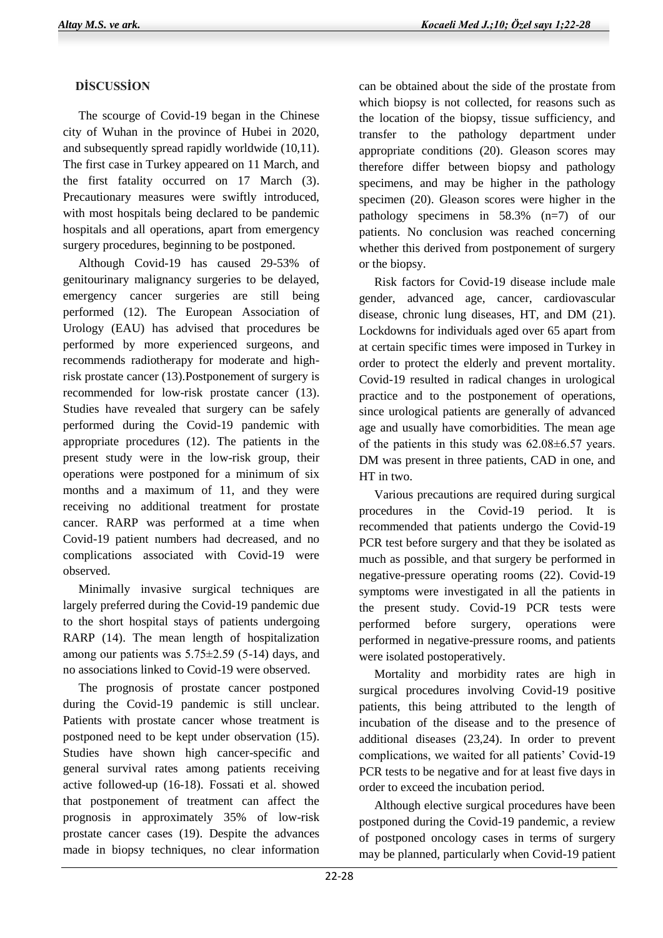## **DİSCUSSİON**

 The scourge of Covid-19 began in the Chinese city of Wuhan in the province of Hubei in 2020, and subsequently spread rapidly worldwide (10,11). The first case in Turkey appeared on 11 March, and the first fatality occurred on 17 March (3). Precautionary measures were swiftly introduced, with most hospitals being declared to be pandemic hospitals and all operations, apart from emergency surgery procedures, beginning to be postponed.

 Although Covid-19 has caused 29-53% of genitourinary malignancy surgeries to be delayed, emergency cancer surgeries are still being performed (12). The European Association of Urology (EAU) has advised that procedures be performed by more experienced surgeons, and recommends radiotherapy for moderate and highrisk prostate cancer (13).Postponement of surgery is recommended for low-risk prostate cancer (13). Studies have revealed that surgery can be safely performed during the Covid-19 pandemic with appropriate procedures (12). The patients in the present study were in the low-risk group, their operations were postponed for a minimum of six months and a maximum of 11, and they were receiving no additional treatment for prostate cancer. RARP was performed at a time when Covid-19 patient numbers had decreased, and no complications associated with Covid-19 were observed.

 Minimally invasive surgical techniques are largely preferred during the Covid-19 pandemic due to the short hospital stays of patients undergoing RARP (14). The mean length of hospitalization among our patients was  $5.75\pm2.59$  (5-14) days, and no associations linked to Covid-19 were observed.

 The prognosis of prostate cancer postponed during the Covid-19 pandemic is still unclear. Patients with prostate cancer whose treatment is postponed need to be kept under observation (15). Studies have shown high cancer-specific and general survival rates among patients receiving active followed-up (16-18). Fossati et al. showed that postponement of treatment can affect the prognosis in approximately 35% of low-risk prostate cancer cases (19). Despite the advances made in biopsy techniques, no clear information

can be obtained about the side of the prostate from which biopsy is not collected, for reasons such as the location of the biopsy, tissue sufficiency, and transfer to the pathology department under appropriate conditions (20). Gleason scores may therefore differ between biopsy and pathology specimens, and may be higher in the pathology specimen (20). Gleason scores were higher in the pathology specimens in 58.3% (n=7) of our patients. No conclusion was reached concerning whether this derived from postponement of surgery or the biopsy.

 Risk factors for Covid-19 disease include male gender, advanced age, cancer, cardiovascular disease, chronic lung diseases, HT, and DM (21). Lockdowns for individuals aged over 65 apart from at certain specific times were imposed in Turkey in order to protect the elderly and prevent mortality. Covid-19 resulted in radical changes in urological practice and to the postponement of operations, since urological patients are generally of advanced age and usually have comorbidities. The mean age of the patients in this study was 62.08±6.57 years. DM was present in three patients, CAD in one, and HT in two.

 Various precautions are required during surgical procedures in the Covid-19 period. It is recommended that patients undergo the Covid-19 PCR test before surgery and that they be isolated as much as possible, and that surgery be performed in negative-pressure operating rooms (22). Covid-19 symptoms were investigated in all the patients in the present study. Covid-19 PCR tests were performed before surgery, operations were performed in negative-pressure rooms, and patients were isolated postoperatively.

 Mortality and morbidity rates are high in surgical procedures involving Covid-19 positive patients, this being attributed to the length of incubation of the disease and to the presence of additional diseases (23,24). In order to prevent complications, we waited for all patients' Covid-19 PCR tests to be negative and for at least five days in order to exceed the incubation period.

 Although elective surgical procedures have been postponed during the Covid-19 pandemic, a review of postponed oncology cases in terms of surgery may be planned, particularly when Covid-19 patient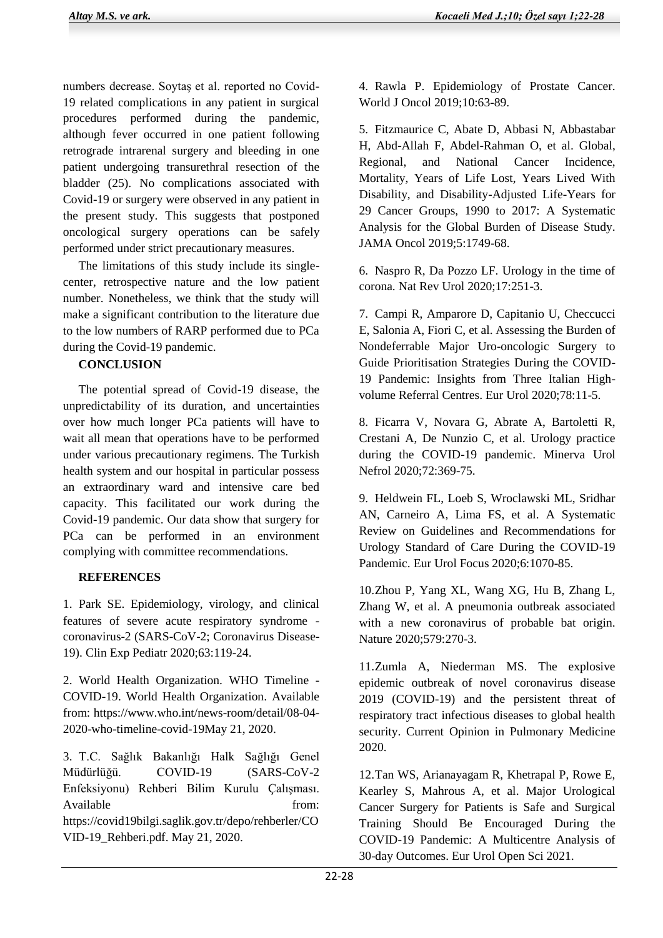numbers decrease. Soytaş et al. reported no Covid-19 related complications in any patient in surgical procedures performed during the pandemic, although fever occurred in one patient following retrograde intrarenal surgery and bleeding in one patient undergoing transurethral resection of the bladder (25). No complications associated with Covid-19 or surgery were observed in any patient in the present study. This suggests that postponed oncological surgery operations can be safely performed under strict precautionary measures.

 The limitations of this study include its singlecenter, retrospective nature and the low patient number. Nonetheless, we think that the study will make a significant contribution to the literature due to the low numbers of RARP performed due to PCa during the Covid-19 pandemic.

## **CONCLUSION**

The potential spread of Covid-19 disease, the unpredictability of its duration, and uncertainties over how much longer PCa patients will have to wait all mean that operations have to be performed under various precautionary regimens. The Turkish health system and our hospital in particular possess an extraordinary ward and intensive care bed capacity. This facilitated our work during the Covid-19 pandemic. Our data show that surgery for PCa can be performed in an environment complying with committee recommendations.

## **REFERENCES**

1. Park SE. Epidemiology, virology, and clinical features of severe acute respiratory syndrome coronavirus-2 (SARS-CoV-2; Coronavirus Disease-19). Clin Exp Pediatr 2020;63:119-24.

2. World Health Organization. WHO Timeline - COVID-19. World Health Organization. Available from: https://www.who.int/news-room/detail/08-04- 2020-who-timeline-covid-19May 21, 2020.

3. T.C. Sağlık Bakanlığı Halk Sağlığı Genel Müdürlüğü. COVID-19 (SARS-CoV-2 Enfeksiyonu) Rehberi Bilim Kurulu Çalışması. Available from: https://covid19bilgi.saglik.gov.tr/depo/rehberler/CO VID-19\_Rehberi.pdf. May 21, 2020.

4. Rawla P. Epidemiology of Prostate Cancer. World J Oncol 2019;10:63-89.

5. Fitzmaurice C, Abate D, Abbasi N, Abbastabar H, Abd-Allah F, Abdel-Rahman O, et al. Global, Regional, and National Cancer Incidence, Mortality, Years of Life Lost, Years Lived With Disability, and Disability-Adjusted Life-Years for 29 Cancer Groups, 1990 to 2017: A Systematic Analysis for the Global Burden of Disease Study. JAMA Oncol 2019;5:1749-68.

6. Naspro R, Da Pozzo LF. Urology in the time of corona. Nat Rev Urol 2020;17:251-3.

7. Campi R, Amparore D, Capitanio U, Checcucci E, Salonia A, Fiori C, et al. Assessing the Burden of Nondeferrable Major Uro-oncologic Surgery to Guide Prioritisation Strategies During the COVID-19 Pandemic: Insights from Three Italian Highvolume Referral Centres. Eur Urol 2020;78:11-5.

8. Ficarra V, Novara G, Abrate A, Bartoletti R, Crestani A, De Nunzio C, et al. Urology practice during the COVID-19 pandemic. Minerva Urol Nefrol 2020;72:369-75.

9. Heldwein FL, Loeb S, Wroclawski ML, Sridhar AN, Carneiro A, Lima FS, et al. A Systematic Review on Guidelines and Recommendations for Urology Standard of Care During the COVID-19 Pandemic. Eur Urol Focus 2020;6:1070-85.

10.Zhou P, Yang XL, Wang XG, Hu B, Zhang L, Zhang W, et al. A pneumonia outbreak associated with a new coronavirus of probable bat origin. Nature 2020;579:270-3.

11.Zumla A, Niederman MS. The explosive epidemic outbreak of novel coronavirus disease 2019 (COVID-19) and the persistent threat of respiratory tract infectious diseases to global health security. Current Opinion in Pulmonary Medicine 2020.

12.Tan WS, Arianayagam R, Khetrapal P, Rowe E, Kearley S, Mahrous A, et al. Major Urological Cancer Surgery for Patients is Safe and Surgical Training Should Be Encouraged During the COVID-19 Pandemic: A Multicentre Analysis of 30-day Outcomes. Eur Urol Open Sci 2021.